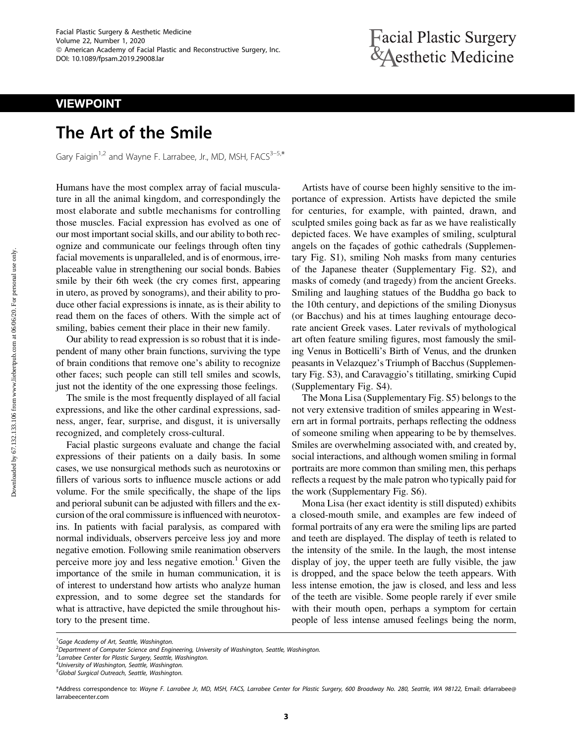## VIEWPOINT

# The Art of the Smile

Gary Faigin<sup>1,2</sup> and Wayne F. Larrabee, Jr., MD, MSH, FACS $3-5,*$ 

Humans have the most complex array of facial musculature in all the animal kingdom, and correspondingly the most elaborate and subtle mechanisms for controlling those muscles. Facial expression has evolved as one of our most important social skills, and our ability to both recognize and communicate our feelings through often tiny facial movements is unparalleled, and is of enormous, irreplaceable value in strengthening our social bonds. Babies smile by their 6th week (the cry comes first, appearing in utero, as proved by sonograms), and their ability to produce other facial expressions is innate, as is their ability to read them on the faces of others. With the simple act of smiling, babies cement their place in their new family.

Our ability to read expression is so robust that it is independent of many other brain functions, surviving the type of brain conditions that remove one's ability to recognize other faces; such people can still tell smiles and scowls, just not the identity of the one expressing those feelings.

The smile is the most frequently displayed of all facial expressions, and like the other cardinal expressions, sadness, anger, fear, surprise, and disgust, it is universally recognized, and completely cross-cultural.

Facial plastic surgeons evaluate and change the facial expressions of their patients on a daily basis. In some cases, we use nonsurgical methods such as neurotoxins or fillers of various sorts to influence muscle actions or add volume. For the smile specifically, the shape of the lips and perioral subunit can be adjusted with fillers and the excursion of the oral commissure is influenced with neurotoxins. In patients with facial paralysis, as compared with normal individuals, observers perceive less joy and more negative emotion. Following smile reanimation observers perceive more joy and less negative emotion. $<sup>1</sup>$  Given the</sup> importance of the smile in human communication, it is of interest to understand how artists who analyze human expression, and to some degree set the standards for what is attractive, have depicted the smile throughout history to the present time.

Artists have of course been highly sensitive to the importance of expression. Artists have depicted the smile for centuries, for example, with painted, drawn, and sculpted smiles going back as far as we have realistically depicted faces. We have examples of smiling, sculptural angels on the façades of gothic cathedrals (Supplementary Fig. S1), smiling Noh masks from many centuries of the Japanese theater (Supplementary Fig. S2), and masks of comedy (and tragedy) from the ancient Greeks. Smiling and laughing statues of the Buddha go back to the 10th century, and depictions of the smiling Dionysus (or Bacchus) and his at times laughing entourage decorate ancient Greek vases. Later revivals of mythological art often feature smiling figures, most famously the smiling Venus in Botticelli's Birth of Venus, and the drunken peasants in Velazquez's Triumph of Bacchus (Supplementary Fig. S3), and Caravaggio's titillating, smirking Cupid (Supplementary Fig. S4).

**Facial Plastic Surgery** Aesthetic Medicine

The Mona Lisa (Supplementary Fig. S5) belongs to the not very extensive tradition of smiles appearing in Western art in formal portraits, perhaps reflecting the oddness of someone smiling when appearing to be by themselves. Smiles are overwhelming associated with, and created by, social interactions, and although women smiling in formal portraits are more common than smiling men, this perhaps reflects a request by the male patron who typically paid for the work (Supplementary Fig. S6).

Mona Lisa (her exact identity is still disputed) exhibits a closed-mouth smile, and examples are few indeed of formal portraits of any era were the smiling lips are parted and teeth are displayed. The display of teeth is related to the intensity of the smile. In the laugh, the most intense display of joy, the upper teeth are fully visible, the jaw is dropped, and the space below the teeth appears. With less intense emotion, the jaw is closed, and less and less of the teeth are visible. Some people rarely if ever smile with their mouth open, perhaps a symptom for certain people of less intense amused feelings being the norm,

<sup>&</sup>lt;sup>1</sup>Gage Academy of Art, Seattle, Washington.

<sup>&</sup>lt;sup>2</sup> Department of Computer Science and Engineering, University of Washington, Seattle, Washington.

<sup>&</sup>lt;sup>3</sup> Larrabee Center for Plastic Surgery, Seattle, Washington.

<sup>4</sup> University of Washington, Seattle, Washington.

<sup>5</sup> Global Surgical Outreach, Seattle, Washington.

<sup>\*</sup>Address correspondence to: Wayne F. Larrabee Jr, MD, MSH, FACS, Larrabee Center for Plastic Surgery, 600 Broadway No. 280, Seattle, WA 98122, Email: drlarrabee@ larrabeecenter.com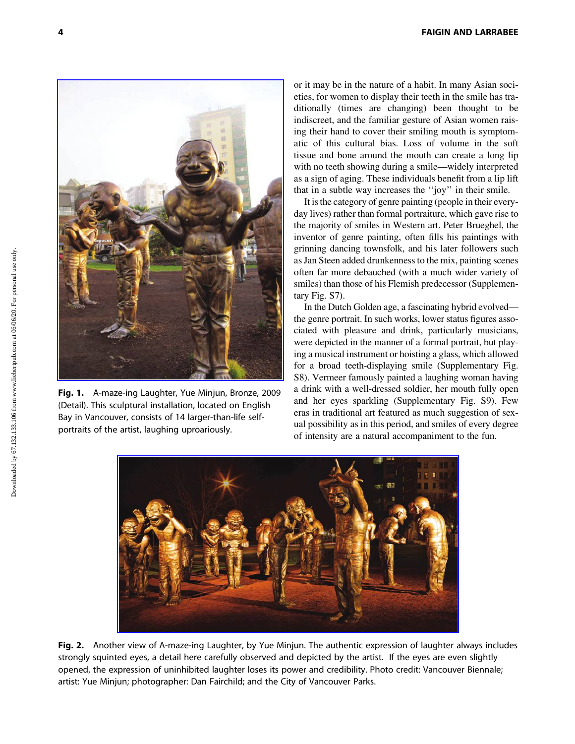

Fig. 1. A-maze-ing Laughter, Yue Minjun, Bronze, 2009 (Detail). This sculptural installation, located on English Bay in Vancouver, consists of 14 larger-than-life selfportraits of the artist, laughing uproariously.

or it may be in the nature of a habit. In many Asian societies, for women to display their teeth in the smile has traditionally (times are changing) been thought to be indiscreet, and the familiar gesture of Asian women raising their hand to cover their smiling mouth is symptomatic of this cultural bias. Loss of volume in the soft tissue and bone around the mouth can create a long lip with no teeth showing during a smile—widely interpreted as a sign of aging. These individuals benefit from a lip lift that in a subtle way increases the ''joy'' in their smile.

It is the category of genre painting (people in their everyday lives) rather than formal portraiture, which gave rise to the majority of smiles in Western art. Peter Brueghel, the inventor of genre painting, often fills his paintings with grinning dancing townsfolk, and his later followers such as Jan Steen added drunkenness to the mix, painting scenes often far more debauched (with a much wider variety of smiles) than those of his Flemish predecessor (Supplementary Fig. S7).

In the Dutch Golden age, a fascinating hybrid evolved the genre portrait. In such works, lower status figures associated with pleasure and drink, particularly musicians, were depicted in the manner of a formal portrait, but playing a musical instrument or hoisting a glass, which allowed for a broad teeth-displaying smile (Supplementary Fig. S8). Vermeer famously painted a laughing woman having a drink with a well-dressed soldier, her mouth fully open and her eyes sparkling (Supplementary Fig. S9). Few eras in traditional art featured as much suggestion of sexual possibility as in this period, and smiles of every degree of intensity are a natural accompaniment to the fun.



Fig. 2. Another view of A-maze-ing Laughter, by Yue Minjun. The authentic expression of laughter always includes strongly squinted eyes, a detail here carefully observed and depicted by the artist. If the eyes are even slightly opened, the expression of uninhibited laughter loses its power and credibility. Photo credit: Vancouver Biennale; artist: Yue Minjun; photographer: Dan Fairchild; and the City of Vancouver Parks.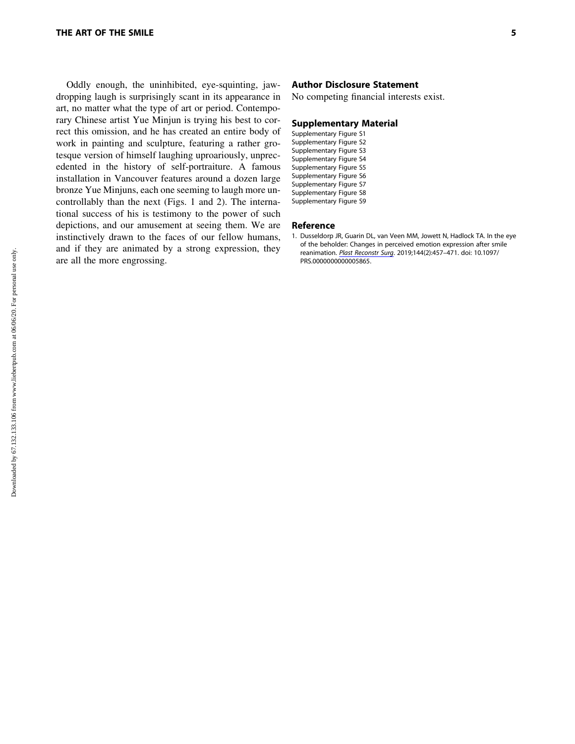Oddly enough, the uninhibited, eye-squinting, jawdropping laugh is surprisingly scant in its appearance in art, no matter what the type of art or period. Contemporary Chinese artist Yue Minjun is trying his best to correct this omission, and he has created an entire body of work in painting and sculpture, featuring a rather grotesque version of himself laughing uproariously, unprecedented in the history of self-portraiture. A famous installation in Vancouver features around a dozen large bronze Yue Minjuns, each one seeming to laugh more uncontrollably than the next (Figs. 1 and 2). The international success of his is testimony to the power of such depictions, and our amusement at seeing them. We are instinctively drawn to the faces of our fellow humans, and if they are animated by a strong expression, they are all the more engrossing.

### Author Disclosure Statement

No competing financial interests exist.

#### Supplementary Material

Supplementary Figure S1 Supplementary Figure S2 Supplementary Figure S3 Supplementary Figure S4 Supplementary Figure S5 Supplementary Figure S6 Supplementary Figure S7 Supplementary Figure S8 Supplementary Figure S9

#### Reference

1. Dusseldorp JR, Guarin DL, van Veen MM, Jowett N, Hadlock TA. In the eye of the beholder: Changes in perceived emotion expression after smile reanimation. [Plast Reconstr Surg](https://www.liebertpub.com/action/showLinks?pmid=31348360&crossref=10.1097%2FPRS.0000000000005865&citationId=p_6). 2019;144(2):457–471. doi: 10.1097/ PRS.0000000000005865.